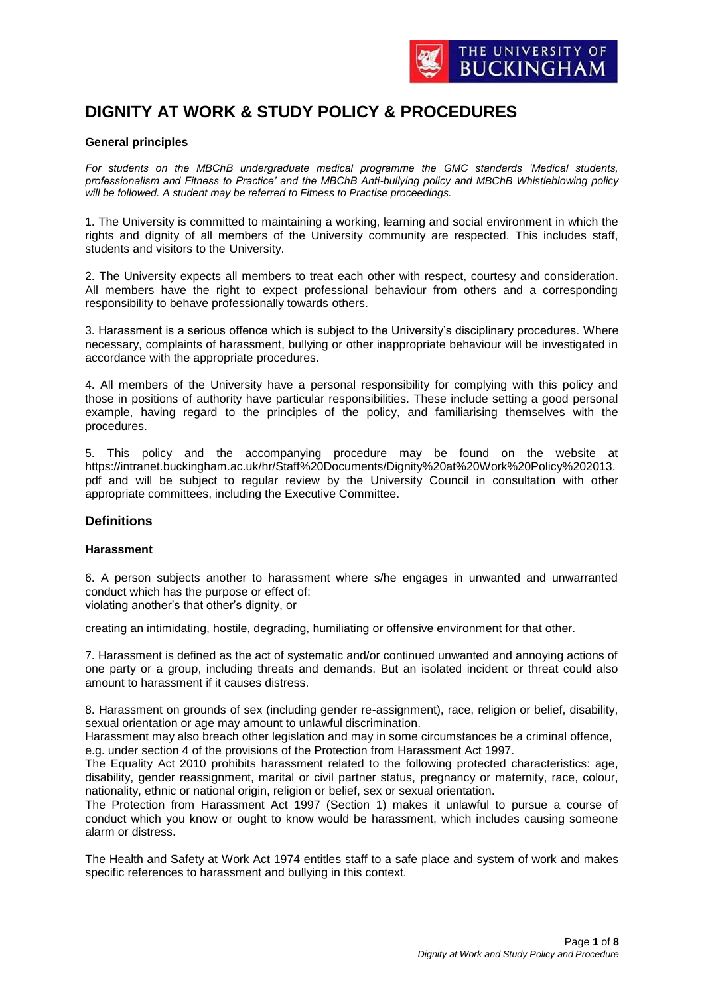

# **DIGNITY AT WORK & STUDY POLICY & PROCEDURES**

#### **General principles**

*For students on the MBChB undergraduate medical programme the GMC standards 'Medical students, professionalism and Fitness to Practice' and the MBChB Anti-bullying policy and MBChB Whistleblowing policy will be followed. A student may be referred to Fitness to Practise proceedings.*

1. The University is committed to maintaining a working, learning and social environment in which the rights and dignity of all members of the University community are respected. This includes staff, students and visitors to the University.

2. The University expects all members to treat each other with respect, courtesy and consideration. All members have the right to expect professional behaviour from others and a corresponding responsibility to behave professionally towards others.

3. Harassment is a serious offence which is subject to the University's disciplinary procedures. Where necessary, complaints of harassment, bullying or other inappropriate behaviour will be investigated in accordance with the appropriate procedures.

4. All members of the University have a personal responsibility for complying with this policy and those in positions of authority have particular responsibilities. These include setting a good personal example, having regard to the principles of the policy, and familiarising themselves with the procedures.

5. This policy and the accompanying procedure may be found on the website at https://intranet.buckingham.ac.uk/hr/Staff%20Documents/Dignity%20at%20Work%20Policy%202013. pdf and will be subject to regular review by the University Council in consultation with other appropriate committees, including the Executive Committee.

# **Definitions**

#### **Harassment**

6. A person subjects another to harassment where s/he engages in unwanted and unwarranted conduct which has the purpose or effect of: violating another's that other's dignity, or

creating an intimidating, hostile, degrading, humiliating or offensive environment for that other.

7. Harassment is defined as the act of systematic and/or continued unwanted and annoying actions of one party or a group, including threats and demands. But an isolated incident or threat could also amount to harassment if it causes distress.

8. Harassment on grounds of sex (including gender re-assignment), race, religion or belief, disability, sexual orientation or age may amount to unlawful discrimination.

Harassment may also breach other legislation and may in some circumstances be a criminal offence, e.g. under section 4 of the provisions of the Protection from Harassment Act 1997.

The Equality Act 2010 prohibits harassment related to the following protected characteristics: age, disability, gender reassignment, marital or civil partner status, pregnancy or maternity, race, colour, nationality, ethnic or national origin, religion or belief, sex or sexual orientation.

The Protection from Harassment Act 1997 (Section 1) makes it unlawful to pursue a course of conduct which you know or ought to know would be harassment, which includes causing someone alarm or distress.

The Health and Safety at Work Act 1974 entitles staff to a safe place and system of work and makes specific references to harassment and bullying in this context.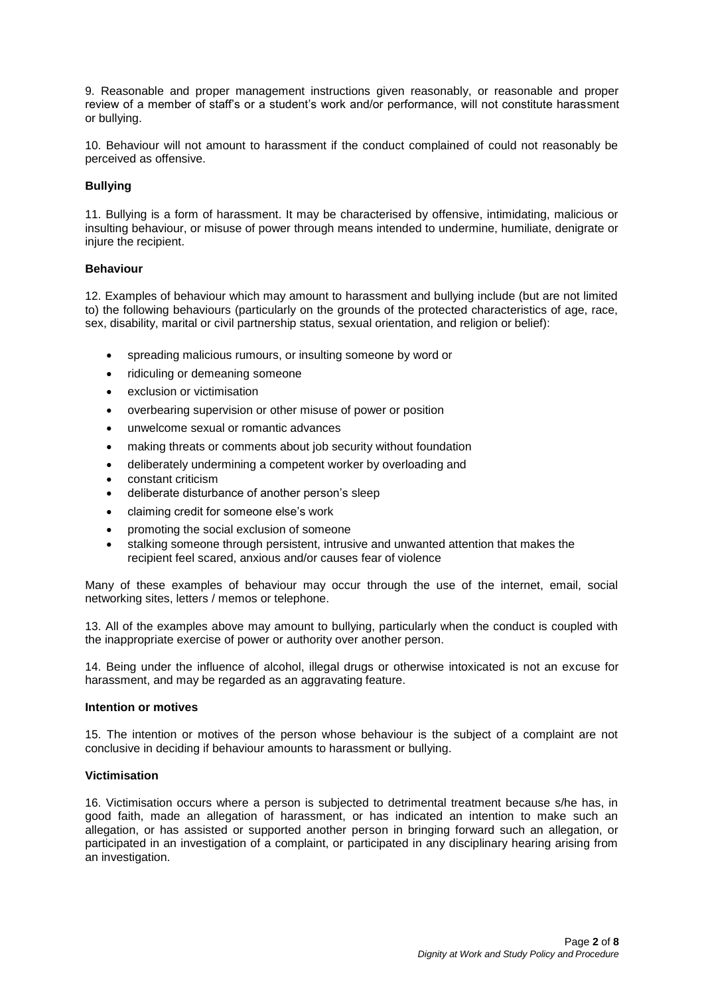9. Reasonable and proper management instructions given reasonably, or reasonable and proper review of a member of staff's or a student's work and/or performance, will not constitute harassment or bullying.

10. Behaviour will not amount to harassment if the conduct complained of could not reasonably be perceived as offensive.

# **Bullying**

11. Bullying is a form of harassment. It may be characterised by offensive, intimidating, malicious or insulting behaviour, or misuse of power through means intended to undermine, humiliate, denigrate or injure the recipient.

#### **Behaviour**

12. Examples of behaviour which may amount to harassment and bullying include (but are not limited to) the following behaviours (particularly on the grounds of the protected characteristics of age, race, sex, disability, marital or civil partnership status, sexual orientation, and religion or belief):

- spreading malicious rumours, or insulting someone by word or
- ridiculing or demeaning someone
- exclusion or victimisation
- overbearing supervision or other misuse of power or position
- unwelcome sexual or romantic advances
- making threats or comments about job security without foundation
- deliberately undermining a competent worker by overloading and
- constant criticism
- deliberate disturbance of another person's sleep
- claiming credit for someone else's work
- promoting the social exclusion of someone
- stalking someone through persistent, intrusive and unwanted attention that makes the recipient feel scared, anxious and/or causes fear of violence

Many of these examples of behaviour may occur through the use of the internet, email, social networking sites, letters / memos or telephone.

13. All of the examples above may amount to bullying, particularly when the conduct is coupled with the inappropriate exercise of power or authority over another person.

14. Being under the influence of alcohol, illegal drugs or otherwise intoxicated is not an excuse for harassment, and may be regarded as an aggravating feature.

#### **Intention or motives**

15. The intention or motives of the person whose behaviour is the subject of a complaint are not conclusive in deciding if behaviour amounts to harassment or bullying.

# **Victimisation**

16. Victimisation occurs where a person is subjected to detrimental treatment because s/he has, in good faith, made an allegation of harassment, or has indicated an intention to make such an allegation, or has assisted or supported another person in bringing forward such an allegation, or participated in an investigation of a complaint, or participated in any disciplinary hearing arising from an investigation.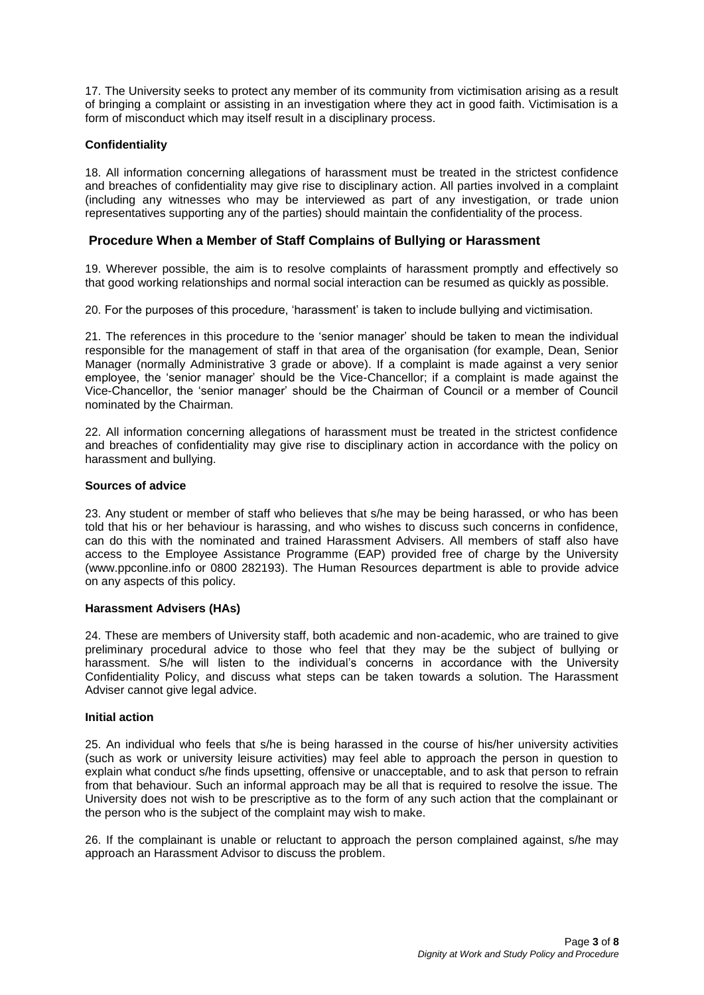17. The University seeks to protect any member of its community from victimisation arising as a result of bringing a complaint or assisting in an investigation where they act in good faith. Victimisation is a form of misconduct which may itself result in a disciplinary process.

# **Confidentiality**

18. All information concerning allegations of harassment must be treated in the strictest confidence and breaches of confidentiality may give rise to disciplinary action. All parties involved in a complaint (including any witnesses who may be interviewed as part of any investigation, or trade union representatives supporting any of the parties) should maintain the confidentiality of the process.

# **Procedure When a Member of Staff Complains of Bullying or Harassment**

19. Wherever possible, the aim is to resolve complaints of harassment promptly and effectively so that good working relationships and normal social interaction can be resumed as quickly as possible.

20. For the purposes of this procedure, 'harassment' is taken to include bullying and victimisation.

21. The references in this procedure to the 'senior manager' should be taken to mean the individual responsible for the management of staff in that area of the organisation (for example, Dean, Senior Manager (normally Administrative 3 grade or above). If a complaint is made against a very senior employee, the 'senior manager' should be the Vice-Chancellor; if a complaint is made against the Vice-Chancellor, the 'senior manager' should be the Chairman of Council or a member of Council nominated by the Chairman.

22. All information concerning allegations of harassment must be treated in the strictest confidence and breaches of confidentiality may give rise to disciplinary action in accordance with the policy on harassment and bullying.

# **Sources of advice**

23. Any student or member of staff who believes that s/he may be being harassed, or who has been told that his or her behaviour is harassing, and who wishes to discuss such concerns in confidence, can do this with the nominated and trained Harassment Advisers. All members of staff also have access to the Employee Assistance Programme (EAP) provided free of charge by the University [\(www.ppconline.info o](http://www.ppconline.info/)r 0800 282193). The Human Resources department is able to provide advice on any aspects of this policy.

#### **Harassment Advisers (HAs)**

24. These are members of University staff, both academic and non-academic, who are trained to give preliminary procedural advice to those who feel that they may be the subject of bullying or harassment. S/he will listen to the individual's concerns in accordance with the University Confidentiality Policy, and discuss what steps can be taken towards a solution. The Harassment Adviser cannot give legal advice.

# **Initial action**

25. An individual who feels that s/he is being harassed in the course of his/her university activities (such as work or university leisure activities) may feel able to approach the person in question to explain what conduct s/he finds upsetting, offensive or unacceptable, and to ask that person to refrain from that behaviour. Such an informal approach may be all that is required to resolve the issue. The University does not wish to be prescriptive as to the form of any such action that the complainant or the person who is the subject of the complaint may wish to make.

26. If the complainant is unable or reluctant to approach the person complained against, s/he may approach an Harassment Advisor to discuss the problem.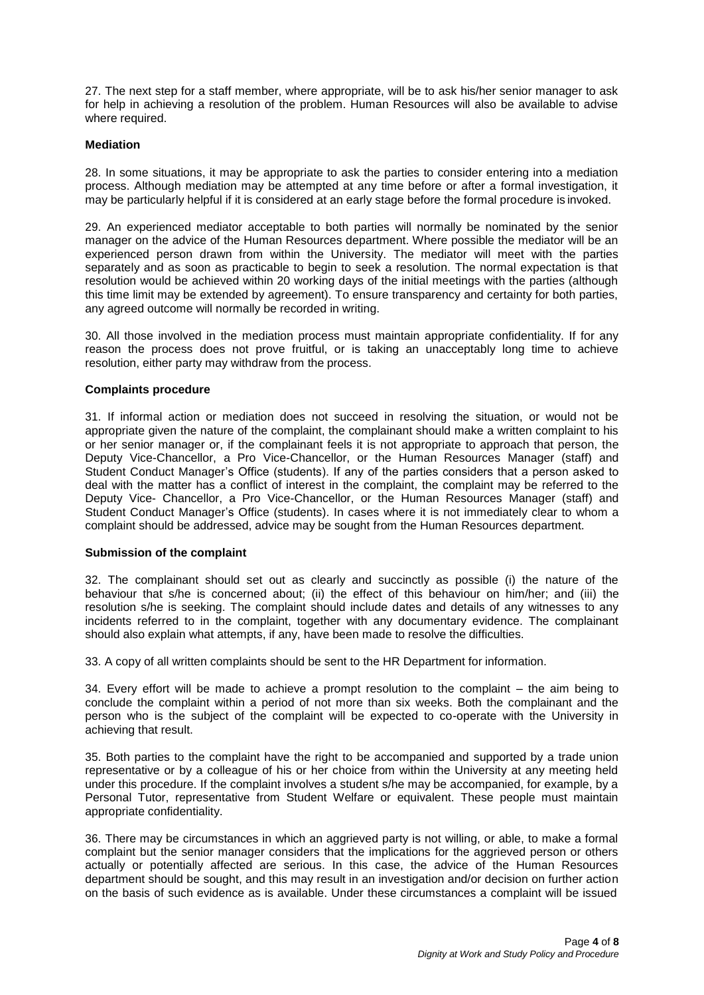27. The next step for a staff member, where appropriate, will be to ask his/her senior manager to ask for help in achieving a resolution of the problem. Human Resources will also be available to advise where required.

#### **Mediation**

28. In some situations, it may be appropriate to ask the parties to consider entering into a mediation process. Although mediation may be attempted at any time before or after a formal investigation, it may be particularly helpful if it is considered at an early stage before the formal procedure is invoked.

29. An experienced mediator acceptable to both parties will normally be nominated by the senior manager on the advice of the Human Resources department. Where possible the mediator will be an experienced person drawn from within the University. The mediator will meet with the parties separately and as soon as practicable to begin to seek a resolution. The normal expectation is that resolution would be achieved within 20 working days of the initial meetings with the parties (although this time limit may be extended by agreement). To ensure transparency and certainty for both parties, any agreed outcome will normally be recorded in writing.

30. All those involved in the mediation process must maintain appropriate confidentiality. If for any reason the process does not prove fruitful, or is taking an unacceptably long time to achieve resolution, either party may withdraw from the process.

#### **Complaints procedure**

31. If informal action or mediation does not succeed in resolving the situation, or would not be appropriate given the nature of the complaint, the complainant should make a written complaint to his or her senior manager or, if the complainant feels it is not appropriate to approach that person, the Deputy Vice-Chancellor, a Pro Vice-Chancellor, or the Human Resources Manager (staff) and Student Conduct Manager's Office (students). If any of the parties considers that a person asked to deal with the matter has a conflict of interest in the complaint, the complaint may be referred to the Deputy Vice- Chancellor, a Pro Vice-Chancellor, or the Human Resources Manager (staff) and Student Conduct Manager's Office (students). In cases where it is not immediately clear to whom a complaint should be addressed, advice may be sought from the Human Resources department.

#### **Submission of the complaint**

32. The complainant should set out as clearly and succinctly as possible (i) the nature of the behaviour that s/he is concerned about; (ii) the effect of this behaviour on him/her; and (iii) the resolution s/he is seeking. The complaint should include dates and details of any witnesses to any incidents referred to in the complaint, together with any documentary evidence. The complainant should also explain what attempts, if any, have been made to resolve the difficulties.

33. A copy of all written complaints should be sent to the HR Department for information.

34. Every effort will be made to achieve a prompt resolution to the complaint – the aim being to conclude the complaint within a period of not more than six weeks. Both the complainant and the person who is the subject of the complaint will be expected to co-operate with the University in achieving that result.

35. Both parties to the complaint have the right to be accompanied and supported by a trade union representative or by a colleague of his or her choice from within the University at any meeting held under this procedure. If the complaint involves a student s/he may be accompanied, for example, by a Personal Tutor, representative from Student Welfare or equivalent. These people must maintain appropriate confidentiality.

36. There may be circumstances in which an aggrieved party is not willing, or able, to make a formal complaint but the senior manager considers that the implications for the aggrieved person or others actually or potentially affected are serious. In this case, the advice of the Human Resources department should be sought, and this may result in an investigation and/or decision on further action on the basis of such evidence as is available. Under these circumstances a complaint will be issued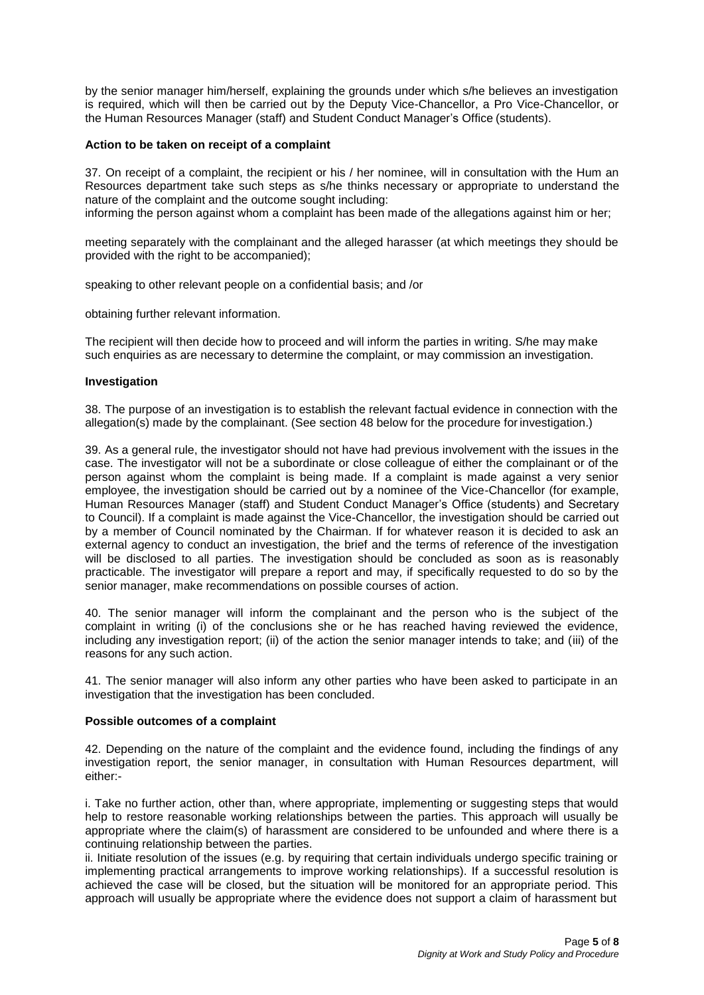by the senior manager him/herself, explaining the grounds under which s/he believes an investigation is required, which will then be carried out by the Deputy Vice-Chancellor, a Pro Vice-Chancellor, or the Human Resources Manager (staff) and Student Conduct Manager's Office (students).

#### **Action to be taken on receipt of a complaint**

37. On receipt of a complaint, the recipient or his / her nominee, will in consultation with the Hum an Resources department take such steps as s/he thinks necessary or appropriate to understand the nature of the complaint and the outcome sought including: informing the person against whom a complaint has been made of the allegations against him or her;

meeting separately with the complainant and the alleged harasser (at which meetings they should be provided with the right to be accompanied);

speaking to other relevant people on a confidential basis; and /or

obtaining further relevant information.

The recipient will then decide how to proceed and will inform the parties in writing. S/he may make such enquiries as are necessary to determine the complaint, or may commission an investigation.

#### **Investigation**

38. The purpose of an investigation is to establish the relevant factual evidence in connection with the allegation(s) made by the complainant. (See section 48 below for the procedure for investigation.)

39. As a general rule, the investigator should not have had previous involvement with the issues in the case. The investigator will not be a subordinate or close colleague of either the complainant or of the person against whom the complaint is being made. If a complaint is made against a very senior employee, the investigation should be carried out by a nominee of the Vice-Chancellor (for example, Human Resources Manager (staff) and Student Conduct Manager's Office (students) and Secretary to Council). If a complaint is made against the Vice-Chancellor, the investigation should be carried out by a member of Council nominated by the Chairman. If for whatever reason it is decided to ask an external agency to conduct an investigation, the brief and the terms of reference of the investigation will be disclosed to all parties. The investigation should be concluded as soon as is reasonably practicable. The investigator will prepare a report and may, if specifically requested to do so by the senior manager, make recommendations on possible courses of action.

40. The senior manager will inform the complainant and the person who is the subject of the complaint in writing (i) of the conclusions she or he has reached having reviewed the evidence, including any investigation report; (ii) of the action the senior manager intends to take; and (iii) of the reasons for any such action.

41. The senior manager will also inform any other parties who have been asked to participate in an investigation that the investigation has been concluded.

#### **Possible outcomes of a complaint**

42. Depending on the nature of the complaint and the evidence found, including the findings of any investigation report, the senior manager, in consultation with Human Resources department, will either:-

i. Take no further action, other than, where appropriate, implementing or suggesting steps that would help to restore reasonable working relationships between the parties. This approach will usually be appropriate where the claim(s) of harassment are considered to be unfounded and where there is a continuing relationship between the parties.

ii. Initiate resolution of the issues (e.g. by requiring that certain individuals undergo specific training or implementing practical arrangements to improve working relationships). If a successful resolution is achieved the case will be closed, but the situation will be monitored for an appropriate period. This approach will usually be appropriate where the evidence does not support a claim of harassment but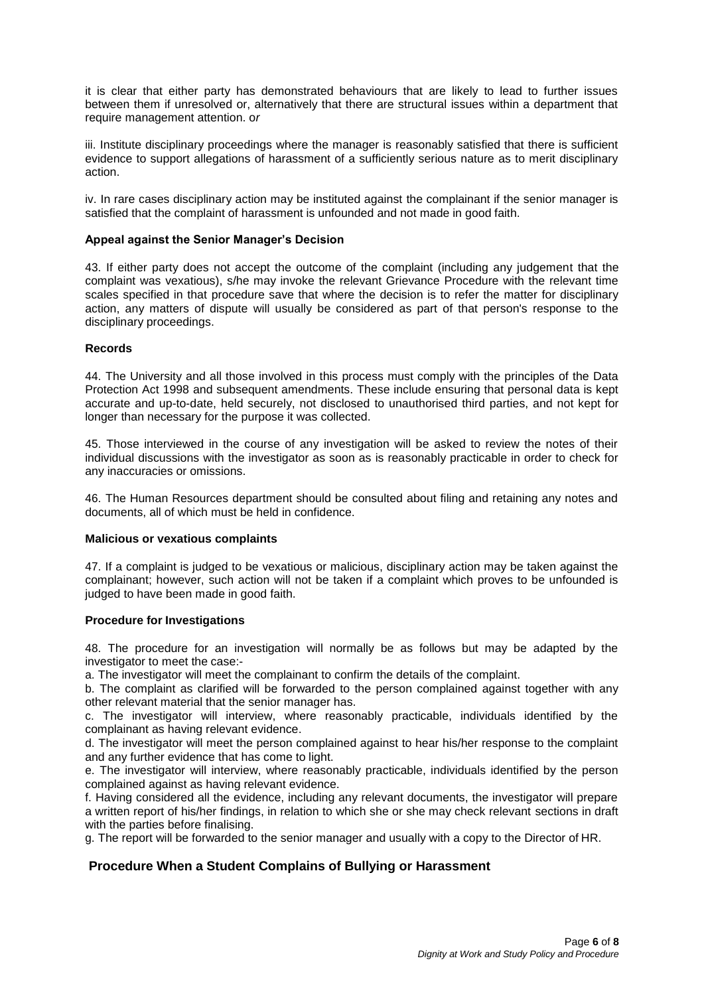it is clear that either party has demonstrated behaviours that are likely to lead to further issues between them if unresolved or, alternatively that there are structural issues within a department that require management attention. o*r*

iii. Institute disciplinary proceedings where the manager is reasonably satisfied that there is sufficient evidence to support allegations of harassment of a sufficiently serious nature as to merit disciplinary action.

iv. In rare cases disciplinary action may be instituted against the complainant if the senior manager is satisfied that the complaint of harassment is unfounded and not made in good faith.

# **Appeal against the Senior Manager's Decision**

43. If either party does not accept the outcome of the complaint (including any judgement that the complaint was vexatious), s/he may invoke the relevant Grievance Procedure with the relevant time scales specified in that procedure save that where the decision is to refer the matter for disciplinary action, any matters of dispute will usually be considered as part of that person's response to the disciplinary proceedings.

#### **Records**

44. The University and all those involved in this process must comply with the principles of the Data Protection Act 1998 and subsequent amendments. These include ensuring that personal data is kept accurate and up-to-date, held securely, not disclosed to unauthorised third parties, and not kept for longer than necessary for the purpose it was collected.

45. Those interviewed in the course of any investigation will be asked to review the notes of their individual discussions with the investigator as soon as is reasonably practicable in order to check for any inaccuracies or omissions.

46. The Human Resources department should be consulted about filing and retaining any notes and documents, all of which must be held in confidence.

#### **Malicious or vexatious complaints**

47. If a complaint is judged to be vexatious or malicious, disciplinary action may be taken against the complainant; however, such action will not be taken if a complaint which proves to be unfounded is judged to have been made in good faith.

#### **Procedure for Investigations**

48. The procedure for an investigation will normally be as follows but may be adapted by the investigator to meet the case:-

a. The investigator will meet the complainant to confirm the details of the complaint.

b. The complaint as clarified will be forwarded to the person complained against together with any other relevant material that the senior manager has.

c. The investigator will interview, where reasonably practicable, individuals identified by the complainant as having relevant evidence.

d. The investigator will meet the person complained against to hear his/her response to the complaint and any further evidence that has come to light.

e. The investigator will interview, where reasonably practicable, individuals identified by the person complained against as having relevant evidence.

f. Having considered all the evidence, including any relevant documents, the investigator will prepare a written report of his/her findings, in relation to which she or she may check relevant sections in draft with the parties before finalising.

g. The report will be forwarded to the senior manager and usually with a copy to the Director of HR.

# **Procedure When a Student Complains of Bullying or Harassment**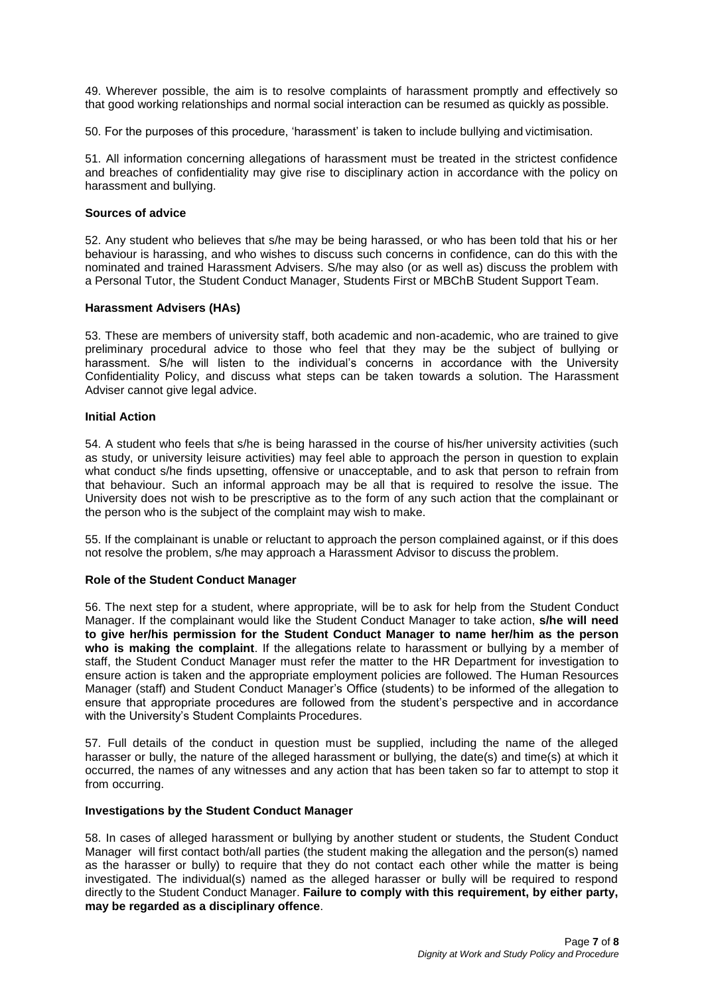49. Wherever possible, the aim is to resolve complaints of harassment promptly and effectively so that good working relationships and normal social interaction can be resumed as quickly as possible.

50. For the purposes of this procedure, 'harassment' is taken to include bullying and victimisation.

51. All information concerning allegations of harassment must be treated in the strictest confidence and breaches of confidentiality may give rise to disciplinary action in accordance with the policy on harassment and bullying.

# **Sources of advice**

52. Any student who believes that s/he may be being harassed, or who has been told that his or her behaviour is harassing, and who wishes to discuss such concerns in confidence, can do this with the nominated and trained Harassment Advisers. S/he may also (or as well as) discuss the problem with a Personal Tutor, the Student Conduct Manager, Students First or MBChB Student Support Team.

# **Harassment Advisers (HAs)**

53. These are members of university staff, both academic and non-academic, who are trained to give preliminary procedural advice to those who feel that they may be the subject of bullying or harassment. S/he will listen to the individual's concerns in accordance with the University Confidentiality Policy, and discuss what steps can be taken towards a solution. The Harassment Adviser cannot give legal advice.

#### **Initial Action**

54. A student who feels that s/he is being harassed in the course of his/her university activities (such as study, or university leisure activities) may feel able to approach the person in question to explain what conduct s/he finds upsetting, offensive or unacceptable, and to ask that person to refrain from that behaviour. Such an informal approach may be all that is required to resolve the issue. The University does not wish to be prescriptive as to the form of any such action that the complainant or the person who is the subject of the complaint may wish to make.

55. If the complainant is unable or reluctant to approach the person complained against, or if this does not resolve the problem, s/he may approach a Harassment Advisor to discuss the problem.

# **Role of the Student Conduct Manager**

56. The next step for a student, where appropriate, will be to ask for help from the Student Conduct Manager. If the complainant would like the Student Conduct Manager to take action, **s/he will need to give her/his permission for the Student Conduct Manager to name her/him as the person who is making the complaint**. If the allegations relate to harassment or bullying by a member of staff, the Student Conduct Manager must refer the matter to the HR Department for investigation to ensure action is taken and the appropriate employment policies are followed. The Human Resources Manager (staff) and Student Conduct Manager's Office (students) to be informed of the allegation to ensure that appropriate procedures are followed from the student's perspective and in accordance with the University's Student Complaints Procedures.

57. Full details of the conduct in question must be supplied, including the name of the alleged harasser or bully, the nature of the alleged harassment or bullying, the date(s) and time(s) at which it occurred, the names of any witnesses and any action that has been taken so far to attempt to stop it from occurring.

#### **Investigations by the Student Conduct Manager**

58. In cases of alleged harassment or bullying by another student or students, the Student Conduct Manager will first contact both/all parties (the student making the allegation and the person(s) named as the harasser or bully) to require that they do not contact each other while the matter is being investigated. The individual(s) named as the alleged harasser or bully will be required to respond directly to the Student Conduct Manager. **Failure to comply with this requirement, by either party, may be regarded as a disciplinary offence**.